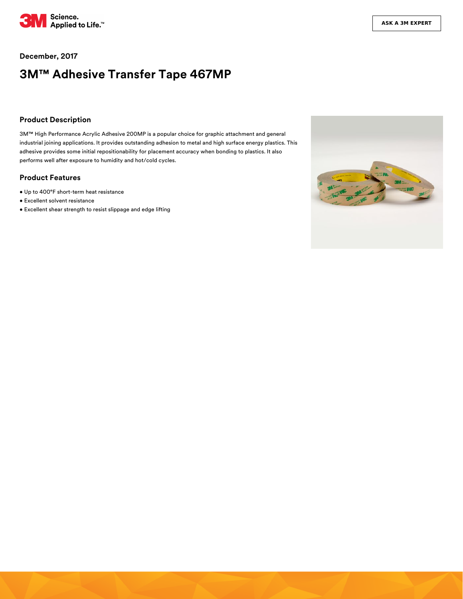

### **December, 2017**

# **3M™ Adhesive Transfer Tape 467MP**

### **Product Description**

3M™ High Performance Acrylic Adhesive 200MP is a popular choice for graphic attachment and general industrial joining applications. It provides outstanding adhesion to metal and high surface energy plastics. This adhesive provides some initial repositionability for placement accuracy when bonding to plastics. It also performs well after exposure to humidity and hot/cold cycles.

#### **Product Features**

- Up to 400°F short-term heat resistance
- Excellent solvent resistance
- Excellent shear strength to resist slippage and edge lifting

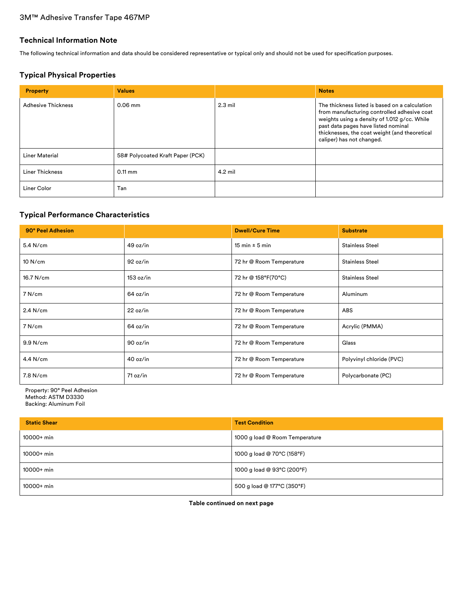# 3M™ Adhesive Transfer Tape 467MP

### **Technical Information Note**

The following technical information and data should be considered representative or typical only and should not be used for specification purposes.

# **Typical Physical Properties**

| <b>Property</b>           | <b>Values</b>                    |           | <b>Notes</b>                                                                                                                                                                                                                                                       |
|---------------------------|----------------------------------|-----------|--------------------------------------------------------------------------------------------------------------------------------------------------------------------------------------------------------------------------------------------------------------------|
| <b>Adhesive Thickness</b> | $0.06$ mm                        | $2.3$ mil | The thickness listed is based on a calculation<br>from manufacturing controlled adhesive coat<br>weights using a density of 1.012 g/cc. While<br>past data pages have listed nominal<br>thicknesses, the coat weight (and theoretical<br>caliper) has not changed. |
| Liner Material            | 58# Polycoated Kraft Paper (PCK) |           |                                                                                                                                                                                                                                                                    |
| <b>Liner Thickness</b>    | $0.11 \text{ mm}$                | $4.2$ mil |                                                                                                                                                                                                                                                                    |
| Liner Color               | Tan                              |           |                                                                                                                                                                                                                                                                    |

# **Typical Performance Characteristics**

| 90° Peel Adhesion |           | <b>Dwell/Cure Time</b>   | <b>Substrate</b>         |
|-------------------|-----------|--------------------------|--------------------------|
| $5.4$ N/cm        | 49 oz/in  | 15 min $\pm$ 5 min       | <b>Stainless Steel</b>   |
| 10 N/cm           | 92 oz/in  | 72 hr @ Room Temperature | <b>Stainless Steel</b>   |
| 16.7 N/cm         | 153 oz/in | 72 hr @ 158°F(70°C)      | <b>Stainless Steel</b>   |
| 7 N/cm            | 64 oz/in  | 72 hr @ Room Temperature | Aluminum                 |
| $2.4$ N/cm        | 22 oz/in  | 72 hr @ Room Temperature | <b>ABS</b>               |
| 7 N/cm            | 64 oz/in  | 72 hr @ Room Temperature | Acrylic (PMMA)           |
| 9.9 N/cm          | 90 oz/in  | 72 hr @ Room Temperature | Glass                    |
| $4.4$ N/cm        | 40 oz/in  | 72 hr @ Room Temperature | Polyvinyl chloride (PVC) |
| 7.8 N/cm          | 71 oz/in  | 72 hr @ Room Temperature | Polycarbonate (PC)       |

Property: 90° Peel Adhesion Method: ASTM D3330 Backing: Aluminum Foil

| <b>Static Shear</b> | <b>Test Condition</b>          |
|---------------------|--------------------------------|
| $10000+$ min        | 1000 g load @ Room Temperature |
| $10000+$ min        | 1000 g load @ 70°C (158°F)     |
| $10000+$ min        | 1000 g load @ 93°C (200°F)     |
| $10000+$ min        | 500 g load @ 177°C (350°F)     |

**Table continued on next page**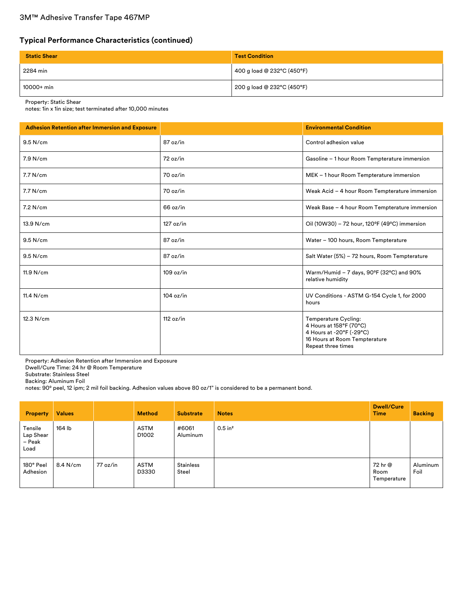# 3M™ Adhesive Transfer Tape 467MP

# **Typical Performance Characteristics (continued)**

| <b>Static Shear</b> | <b>Test Condition</b>        |
|---------------------|------------------------------|
| 2284 min            | 400 g load @ 232°C (450°F)   |
| 10000+ min          | $200$ g load @ 232°C (450°F) |

Property: Static Shear

notes: 1in x 1in size; test terminated after 10,000 minutes

| <b>Adhesion Retention after Immersion and Exposure</b> |           | <b>Environmental Condition</b>                                                                                                     |
|--------------------------------------------------------|-----------|------------------------------------------------------------------------------------------------------------------------------------|
| 9.5 N/cm                                               | 87 oz/in  | Control adhesion value                                                                                                             |
| 7.9 N/cm                                               | 72 oz/in  | Gasoline - 1 hour Room Tempterature immersion                                                                                      |
| 7.7 N/cm                                               | 70 oz/in  | MEK - 1 hour Room Tempterature immersion                                                                                           |
| 7.7 N/cm                                               | 70 oz/in  | Weak Acid - 4 hour Room Tempterature immersion                                                                                     |
| 7.2 N/cm                                               | 66 oz/in  | Weak Base - 4 hour Room Tempterature immersion                                                                                     |
| 13.9 N/cm                                              | 127 oz/in | Oil (10W30) - 72 hour, 120°F (49°C) immersion                                                                                      |
| 9.5 N/cm                                               | 87 oz/in  | Water - 100 hours, Room Tempterature                                                                                               |
| 9.5 N/cm                                               | 87 oz/in  | Salt Water (5%) - 72 hours, Room Tempterature                                                                                      |
| 11.9 N/cm                                              | 109 oz/in | Warm/Humid $-7$ days, 90°F (32°C) and 90%<br>relative humidity                                                                     |
| 11.4 N/cm                                              | 104 oz/in | UV Conditions - ASTM G-154 Cycle 1, for 2000<br>hours                                                                              |
| 12.3 N/cm                                              | 112 oz/in | Temperature Cycling:<br>4 Hours at 158°F (70°C)<br>4 Hours at -20°F (-29°C)<br>16 Hours at Room Tempterature<br>Repeat three times |

Property: Adhesion Retention after Immersion and Exposure

Dwell/Cure Time: 24 hr @ Room Temperature

Substrate: Stainless Steel

Backing: Aluminum Foil

notes: 90° peel, 12 ipm; 2 mil foil backing. Adhesion values above 80 oz/1" is considered to be a permanent bond.

| <b>Property</b>                        | <b>Values</b> |            | <b>Method</b>             | <b>Substrate</b>   | <b>Notes</b>          | <b>Dwell/Cure</b><br><b>Time</b> | <b>Backing</b>   |
|----------------------------------------|---------------|------------|---------------------------|--------------------|-----------------------|----------------------------------|------------------|
| Tensile<br>Lap Shear<br>- Peak<br>Load | 164 lb        |            | ASTM<br>D <sub>1002</sub> | #6061<br>Aluminum  | $0.5$ in <sup>2</sup> |                                  |                  |
| 180° Peel<br>Adhesion                  | 8.4 N/cm      | $77$ oz/in | ASTM<br>D3330             | Stainless<br>Steel |                       | 72 hr @<br>Room<br>Temperature   | Aluminum<br>Foil |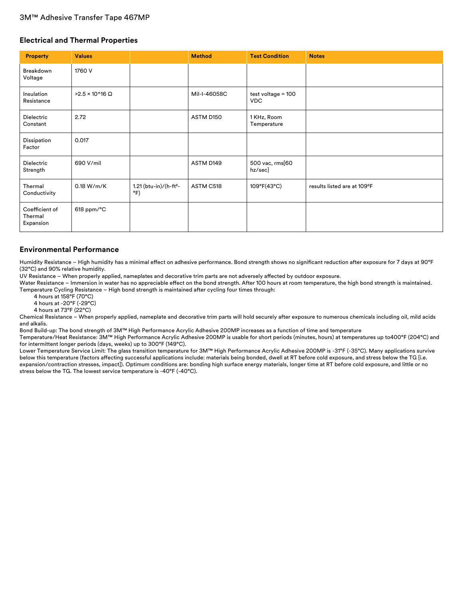### **Electrical and Thermal Properties**

| <b>Property</b>                        | <b>Values</b>                  |                                                  | <b>Method</b> | <b>Test Condition</b>            | <b>Notes</b>                |
|----------------------------------------|--------------------------------|--------------------------------------------------|---------------|----------------------------------|-----------------------------|
| Breakdown<br>Voltage                   | 1760 V                         |                                                  |               |                                  |                             |
| Insulation<br>Resistance               | $>2.5 \times 10^{16}$ $\Omega$ |                                                  | Mil-I-46058C  | test voltage = 100<br><b>VDC</b> |                             |
| Dielectric<br>Constant                 | 2.72                           |                                                  | ASTM D150     | 1 KHz, Room<br>Temperature       |                             |
| Dissipation<br>Factor                  | 0.017                          |                                                  |               |                                  |                             |
| Dielectric<br>Strength                 | 690 V/mil                      |                                                  | ASTM D149     | 500 vac, rms[60<br>hz/sec]       |                             |
| Thermal<br>Conductivity                | 0.18 W/m/K                     | 1.21 (btu-in)/(h-ft <sup>2</sup> -<br>$\circ$ F) | ASTM C518     | 109°F(43°C)                      | results listed are at 109°F |
| Coefficient of<br>Thermal<br>Expansion | 618 ppm/°C                     |                                                  |               |                                  |                             |

### **Environmental Performance**

Humidity Resistance - High humidity has a minimal effect on adhesive performance. Bond strength shows no significant reduction after exposure for 7 days at 90°F (32°C) and 90% relative humidity.

UV Resistance – When properly applied, nameplates and decorative trim parts are not adversely affected by outdoor exposure.

Water Resistance – Immersion in water has no appreciable effect on the bond strength. After 100 hours at room temperature, the high bond strength is maintained.

Temperature Cycling Resistance – High bond strength is maintained after cycling four times through:

4 hours at 158°F (70°C)

4 hours at -20°F (-29°C)

4 hours at 73°F (22°C)

Chemical Resistance – When properly applied, nameplate and decorative trim parts will hold securely after exposure to numerous chemicals including oil, mild acids and alkalis.

Bond Build-up: The bond strength of 3M™ High Performance Acrylic Adhesive 200MP increases as a function of time and temperature

Temperature/Heat Resistance: 3M™ High Performance Acrylic Adhesive 200MP is usable for short periods (minutes, hours) at temperatures up to400°F (204°C) and for intermittent longer periods (days, weeks) up to 300°F (149°C).

Lower Temperature Service Limit: The glass transition temperature for 3M™ High Performance Acrylic Adhesive 200MP is -31°F (-35°C). Many applications survive below this temperature (factors affecting successful applications include: materials being bonded, dwell at RT before cold exposure, and stress below the TG [i.e. expansion/contraction stresses, impact]). Optimum conditions are: bonding high surface energy materials, longer time at RT before cold exposure, and little or no stress below the TG. The lowest service temperature is -40°F (-40°C).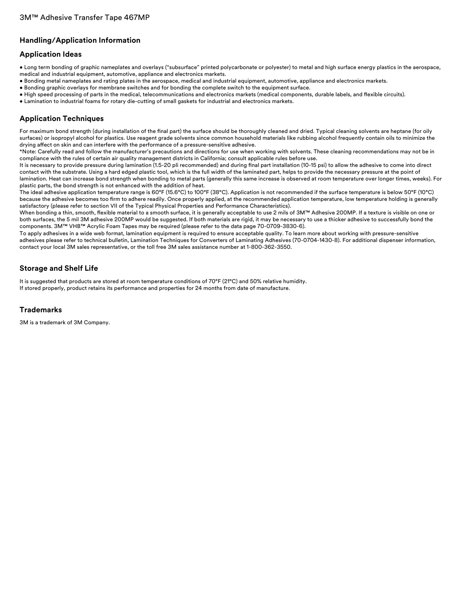# **Handling/Application Information**

### **Application Ideas**

- Long term bonding of graphic nameplates and overlays ("subsurface" printed polycarbonate or polyester) to metal and high surface energy plastics in the aerospace, medical and industrial equipment, automotive, appliance and electronics markets.
- Bonding metal nameplates and rating plates in the aerospace, medical and industrial equipment, automotive, appliance and electronics markets.
- Bonding graphic overlays for membrane switches and for bonding the complete switch to the equipment surface.
- High speed processing of parts in the medical, telecommunications and electronics markets (medical components, durable labels, and flexible circuits).
- Lamination to industrial foams for rotary die-cutting of small gaskets for industrial and electronics markets.

# **Application Techniques**

For maximum bond strength (during installation of the final part) the surface should be thoroughly cleaned and dried. Typical cleaning solvents are heptane (for oily surfaces) or isopropyl alcohol for plastics. Use reagent grade solvents since common household materials like rubbing alcohol frequently contain oils to minimize the drying affect on skin and can interfere with the performance of a pressure-sensitive adhesive.

\*Note: Carefully read and follow the manufacturer's precautions and directions for use when working with solvents. These cleaning recommendations may not be in compliance with the rules of certain air quality management districts in California; consult applicable rules before use.

It is necessary to provide pressure during lamination (1.5-20 pli recommended) and during final part installation (10-15 psi) to allow the adhesive to come into direct contact with the substrate. Using a hard edged plastic tool, which is the full width of the laminated part, helps to provide the necessary pressure at the point of lamination. Heat can increase bond strength when bonding to metal parts (generally this same increase is observed at room temperature over longer times, weeks). For plastic parts, the bond strength is not enhanced with the addition of heat.

The ideal adhesive application temperature range is 60°F (15.6°C) to 100°F (38°C). Application is not recommended if the surface temperature is below 50°F (10°C) because the adhesive becomes too firm to adhere readily. Once properly applied, at the recommended application temperature, low temperature holding is generally satisfactory (please refer to section VII of the Typical Physical Properties and Performance Characteristics).

When bonding a thin, smooth, flexible material to a smooth surface, it is generally acceptable to use 2 mils of 3M™ Adhesive 200MP. If a texture is visible on one or both surfaces, the 5 mil 3M adhesive 200MP would be suggested. If both materials are rigid, it may be necessary to use a thicker adhesive to successfully bond the components. 3M™ VHB™ Acrylic Foam Tapes may be required (please refer to the data page 70-0709-3830-6).

To apply adhesives in a wide web format, lamination equipment is required to ensure acceptable quality. To learn more about working with pressure-sensitive adhesives please refer to technical bulletin, Lamination Techniques for Converters of Laminating Adhesives (70-0704-1430-8). For additional dispenser information, contact your local 3M sales representative, or the toll free 3M sales assistance number at 1-800-362-3550.

# **Storage and Shelf Life**

It is suggested that products are stored at room temperature conditions of 70°F (21°C) and 50% relative humidity. If stored properly, product retains its performance and properties for 24 months from date of manufacture.

### **Trademarks**

3M is a trademark of 3M Company.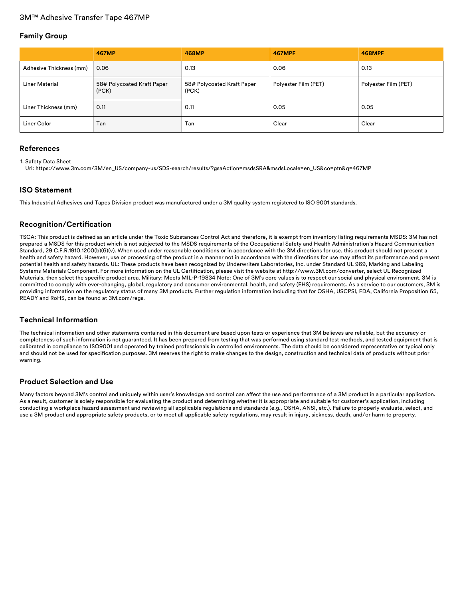# 3M™ Adhesive Transfer Tape 467MP

### **Family Group**

|                         | <b>467MP</b>                        | <b>468MP</b>                        | <b>467MPF</b>        | <b>468MPF</b>        |
|-------------------------|-------------------------------------|-------------------------------------|----------------------|----------------------|
| Adhesive Thickness (mm) | 0.06                                | 0.13                                | 0.06                 | 0.13                 |
| <b>Liner Material</b>   | 58# Polycoated Kraft Paper<br>(PCK) | 58# Polycoated Kraft Paper<br>(PCK) | Polyester Film (PET) | Polyester Film (PET) |
| Liner Thickness (mm)    | 0.11                                | 0.11                                | 0.05                 | 0.05                 |
| Liner Color             | Tan                                 | Tan                                 | Clear                | Clear                |

### **References**

1. Safety Data Sheet

Url: [https://www.3m.com/3M/en\\_US/company-us/SDS-search/results/?gsaAction=msdsSRA&msdsLocale=en\\_US&co=ptn&q=467MP](https://www.3m.com/3M/en_US/company-us/SDS-search/results/?gsaAction=msdsSRA&msdsLocale=en_US&co=ptn&q=467MP)

### **ISO Statement**

This Industrial Adhesives and Tapes Division product was manufactured under a 3M quality system registered to ISO 9001 standards.

### **Recognition/Certification**

TSCA: This product is defined as an article under the Toxic Substances Control Act and therefore, it is exempt from inventory listing requirements MSDS: 3M has not prepared a MSDS for this product which is not subjected to the MSDS requirements of the Occupational Safety and Health Administration's Hazard Communication Standard, 29 C.F.R.1910.1200(b)(6)(v). When used under reasonable conditions or in accordance with the 3M directions for use, this product should not present a health and safety hazard. However, use or processing of the product in a manner not in accordance with the directions for use may affect its performance and present potential health and safety hazards. UL: These products have been recognized by Underwriters Laboratories, Inc. under Standard UL 969, Marking and Labeling Systems Materials Component. For more information on the UL Certification, please visit the website at http://www.3M.com/converter, select UL Recognized Materials, then select the specific product area. Military: Meets MIL-P-19834 Note: One of 3M's core values is to respect our social and physical environment. 3M is committed to comply with ever-changing, global, regulatory and consumer environmental, health, and safety (EHS) requirements. As a service to our customers, 3M is providing information on the regulatory status of many 3M products. Further regulation information including that for OSHA, USCPSI, FDA, California Proposition 65, READY and RoHS, can be found at 3M.com/regs.

### **Technical Information**

The technical information and other statements contained in this document are based upon tests or experience that 3M believes are reliable, but the accuracy or completeness of such information is not guaranteed. It has been prepared from testing that was performed using standard test methods, and tested equipment that is calibrated in compliance to ISO9001 and operated by trained professionals in controlled environments. The data should be considered representative or typical only and should not be used for specification purposes. 3M reserves the right to make changes to the design, construction and technical data of products without prior warning.

### **Product Selection and Use**

Many factors beyond 3M's control and uniquely within user's knowledge and control can affect the use and performance of a 3M product in a particular application. As a result, customer is solely responsible for evaluating the product and determining whether it is appropriate and suitable for customer's application, including conducting a workplace hazard assessment and reviewing all applicable regulations and standards (e.g., OSHA, ANSI, etc.). Failure to properly evaluate, select, and use a 3M product and appropriate safety products, or to meet all applicable safety regulations, may result in injury, sickness, death, and/or harm to property.